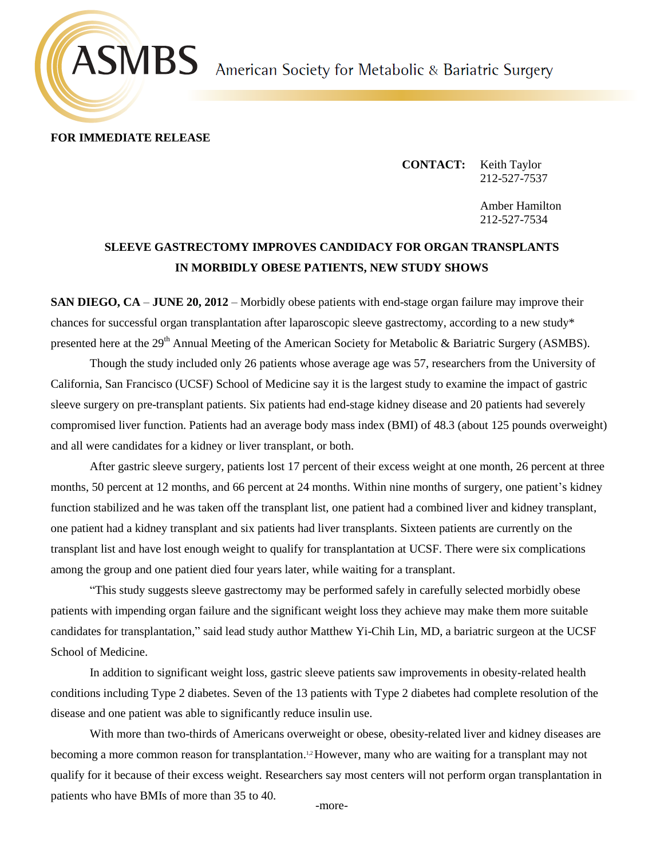# **ASMBS** American Society for Metabolic & Bariatric Surgery



**FOR IMMEDIATE RELEASE**

**CONTACT:** Keith Taylor 212-527-7537

> Amber Hamilton 212-527-7534

## **SLEEVE GASTRECTOMY IMPROVES CANDIDACY FOR ORGAN TRANSPLANTS IN MORBIDLY OBESE PATIENTS, NEW STUDY SHOWS**

**SAN DIEGO, CA** – **JUNE 20, 2012** – Morbidly obese patients with end-stage organ failure may improve their chances for successful organ transplantation after laparoscopic sleeve gastrectomy, according to a new study\* presented here at the 29<sup>th</sup> Annual Meeting of the American Society for Metabolic & Bariatric Surgery (ASMBS).

Though the study included only 26 patients whose average age was 57, researchers from the University of California, San Francisco (UCSF) School of Medicine say it is the largest study to examine the impact of gastric sleeve surgery on pre-transplant patients. Six patients had end-stage kidney disease and 20 patients had severely compromised liver function. Patients had an average body mass index (BMI) of 48.3 (about 125 pounds overweight) and all were candidates for a kidney or liver transplant, or both.

After gastric sleeve surgery, patients lost 17 percent of their excess weight at one month, 26 percent at three months, 50 percent at 12 months, and 66 percent at 24 months. Within nine months of surgery, one patient's kidney function stabilized and he was taken off the transplant list, one patient had a combined liver and kidney transplant, one patient had a kidney transplant and six patients had liver transplants. Sixteen patients are currently on the transplant list and have lost enough weight to qualify for transplantation at UCSF. There were six complications among the group and one patient died four years later, while waiting for a transplant.

"This study suggests sleeve gastrectomy may be performed safely in carefully selected morbidly obese patients with impending organ failure and the significant weight loss they achieve may make them more suitable candidates for transplantation," said lead study author Matthew Yi-Chih Lin, MD, a bariatric surgeon at the UCSF School of Medicine.

In addition to significant weight loss, gastric sleeve patients saw improvements in obesity-related health conditions including Type 2 diabetes. Seven of the 13 patients with Type 2 diabetes had complete resolution of the disease and one patient was able to significantly reduce insulin use.

With more than two-thirds of Americans overweight or obese, obesity-related liver and kidney diseases are becoming a more common reason for transplantation.<sup>1,2</sup> However, many who are waiting for a transplant may not qualify for it because of their excess weight. Researchers say most centers will not perform organ transplantation in patients who have BMIs of more than 35 to 40.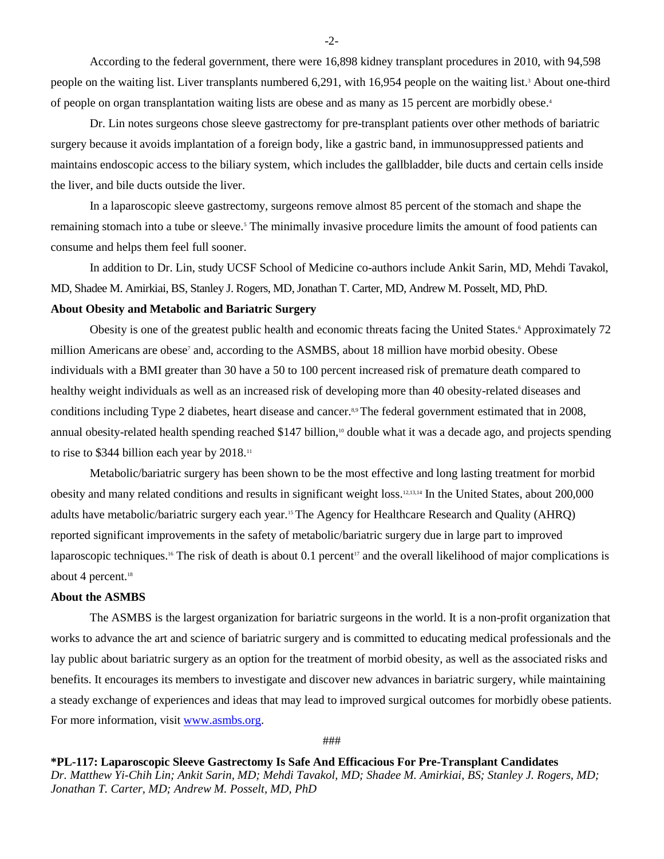According to the federal government, there were 16,898 kidney transplant procedures in 2010, with 94,598 people on the waiting list. Liver transplants numbered 6,291, with 16,954 people on the waiting list.<sup>3</sup> About one-third of people on organ transplantation waiting lists are obese and as many as 15 percent are morbidly obese.<sup>4</sup>

Dr. Lin notes surgeons chose sleeve gastrectomy for pre-transplant patients over other methods of bariatric surgery because it avoids implantation of a foreign body, like a gastric band, in immunosuppressed patients and maintains endoscopic access to the biliary system, which includes the gallbladder, bile ducts and certain cells inside the liver, and bile ducts outside the liver.

In a laparoscopic sleeve gastrectomy, surgeons remove almost 85 percent of the stomach and shape the remaining stomach into a tube or sleeve.<sup>5</sup> The minimally invasive procedure limits the amount of food patients can consume and helps them feel full sooner.

In addition to Dr. Lin, study UCSF School of Medicine co-authors include Ankit Sarin, MD, Mehdi Tavakol, MD, Shadee M. Amirkiai, BS, Stanley J. Rogers, MD, Jonathan T. Carter, MD, Andrew M. Posselt, MD, PhD.

### **About Obesity and Metabolic and Bariatric Surgery**

Obesity is one of the greatest public health and economic threats facing the United States.<sup>6</sup> Approximately 72 million Americans are obese<sup>7</sup> and, according to the ASMBS, about 18 million have morbid obesity. Obese individuals with a BMI greater than 30 have a 50 to 100 percent increased risk of premature death compared to healthy weight individuals as well as an increased risk of developing more than 40 obesity-related diseases and conditions including Type 2 diabetes, heart disease and cancer.<sup>8,9</sup> The federal government estimated that in 2008, annual obesity-related health spending reached \$147 billion,<sup>10</sup> double what it was a decade ago, and projects spending to rise to \$344 billion each year by 2018.<sup>11</sup>

Metabolic/bariatric surgery has been shown to be the most effective and long lasting treatment for morbid obesity and many related conditions and results in significant weight loss.12,13,14 In the United States, about 200,000 adults have metabolic/bariatric surgery each year.<sup>15</sup> The Agency for Healthcare Research and Quality (AHRQ) reported significant improvements in the safety of metabolic/bariatric surgery due in large part to improved laparoscopic techniques.<sup>16</sup> The risk of death is about 0.1 percent<sup>17</sup> and the overall likelihood of major complications is about 4 percent.<sup>18</sup>

#### **About the ASMBS**

The ASMBS is the largest organization for bariatric surgeons in the world. It is a non-profit organization that works to advance the art and science of bariatric surgery and is committed to educating medical professionals and the lay public about bariatric surgery as an option for the treatment of morbid obesity, as well as the associated risks and benefits. It encourages its members to investigate and discover new advances in bariatric surgery, while maintaining a steady exchange of experiences and ideas that may lead to improved surgical outcomes for morbidly obese patients. For more information, visit [www.asmbs.org.](http://www.asmbs.org/)

###

**\*PL-117: Laparoscopic Sleeve Gastrectomy Is Safe And Efficacious For Pre-Transplant Candidates** *Dr. Matthew Yi-Chih Lin; Ankit Sarin, MD; Mehdi Tavakol, MD; Shadee M. Amirkiai, BS; Stanley J. Rogers, MD; Jonathan T. Carter, MD; Andrew M. Posselt, MD, PhD*

-2-